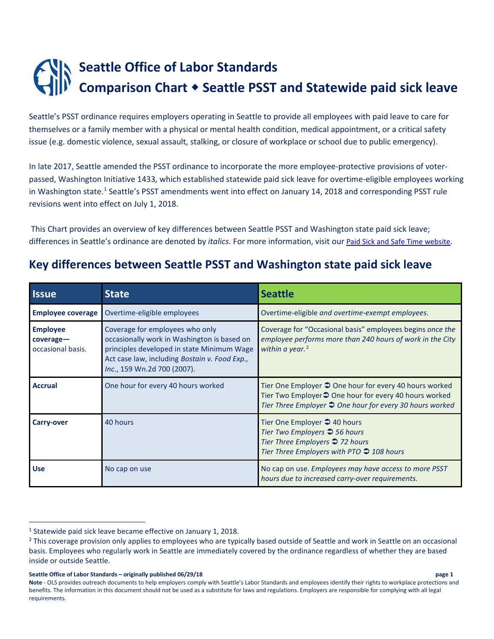## **Seattle Office of Labor Standards Comparison Chart Seattle PSST and Statewide paid sick leave**

Seattle's PSST ordinance requires employers operating in Seattle to provide all employees with paid leave to care for themselves or a family member with a physical or mental health condition, medical appointment, or a critical safety issue (e.g. domestic violence, sexual assault, stalking, or closure of workplace or school due to public emergency).

In late 2017, Seattle amended the PSST ordinance to incorporate the more employee-protective provisions of voterpassed, Washington Initiative 1433, which established statewide paid sick leave for overtime-eligible employees working in Washington state.<sup>[1](#page-0-0)</sup> Seattle's PSST amendments went into effect on January 14, 2018 and corresponding PSST rule revisions went into effect on July 1, 2018.

This Chart provides an overview of key differences between Seattle PSST and Washington state paid sick leave; differences in Seattle's ordinance are denoted by *italics*. For more information, visit our [Paid Sick and Safe Time website.](http://www.seattle.gov/laborstandards/ordinances/paid-sick-and-safe-time)

## **Key differences between Seattle PSST and Washington state paid sick leave**

| <b>Issue</b>                                         | <b>State</b>                                                                                                                                                                                                 | <b>Seattle</b>                                                                                                                                                                             |
|------------------------------------------------------|--------------------------------------------------------------------------------------------------------------------------------------------------------------------------------------------------------------|--------------------------------------------------------------------------------------------------------------------------------------------------------------------------------------------|
| <b>Employee coverage</b>                             | Overtime-eligible employees                                                                                                                                                                                  | Overtime-eligible and overtime-exempt employees.                                                                                                                                           |
| <b>Employee</b><br>$coverage -$<br>occasional basis. | Coverage for employees who only<br>occasionally work in Washington is based on<br>principles developed in state Minimum Wage<br>Act case law, including Bostain v. Food Exp.,<br>Inc., 159 Wn.2d 700 (2007). | Coverage for "Occasional basis" employees begins once the<br>employee performs more than 240 hours of work in the City<br>within a year. $2$                                               |
| <b>Accrual</b>                                       | One hour for every 40 hours worked                                                                                                                                                                           | Tier One Employer <b>◯</b> One hour for every 40 hours worked<br>Tier Two Employer⊅ One hour for every 40 hours worked<br>Tier Three Employer $\supset$ One hour for every 30 hours worked |
| <b>Carry-over</b>                                    | 40 hours                                                                                                                                                                                                     | Tier One Employer $\supset$ 40 hours<br>Tier Two Employers $\supset$ 56 hours<br>Tier Three Employers <b>→ 72 hours</b><br>Tier Three Employers with PTO $\supset$ 108 hours               |
| <b>Use</b>                                           | No cap on use                                                                                                                                                                                                | No cap on use. Employees may have access to more PSST<br>hours due to increased carry-over requirements.                                                                                   |

**Seattle Office of Labor Standards – originally published 06/29/18 page 1**

<span id="page-0-0"></span><sup>&</sup>lt;sup>1</sup> Statewide paid sick leave became effective on January 1, 2018.

<span id="page-0-1"></span><sup>&</sup>lt;sup>2</sup> This coverage provision only applies to employees who are typically based outside of Seattle and work in Seattle on an occasional basis. Employees who regularly work in Seattle are immediately covered by the ordinance regardless of whether they are based inside or outside Seattle.

**Note** - OLS provides outreach documents to help employers comply with Seattle's Labor Standards and employees identify their rights to workplace protections and benefits. The information in this document should not be used as a substitute for laws and regulations. Employers are responsible for complying with all legal requirements.